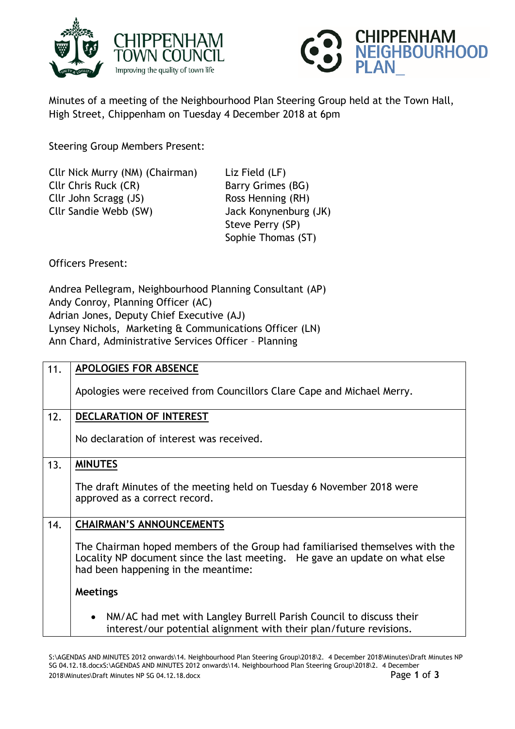



Minutes of a meeting of the Neighbourhood Plan Steering Group held at the Town Hall, High Street, Chippenham on Tuesday 4 December 2018 at 6pm

Steering Group Members Present:

| Cllr Nick Murry (NM) (Chairman) |  |
|---------------------------------|--|
| Cllr Chris Ruck (CR)            |  |
| Cllr John Scragg (JS)           |  |
| Cllr Sandie Webb (SW)           |  |
|                                 |  |

Liz Field (LF) Barry Grimes (BG) Ross Henning (RH) Jack Konynenburg (JK) Steve Perry (SP) Sophie Thomas (ST)

Officers Present:

Andrea Pellegram, Neighbourhood Planning Consultant (AP) Andy Conroy, Planning Officer (AC) Adrian Jones, Deputy Chief Executive (AJ) Lynsey Nichols, Marketing & Communications Officer (LN) Ann Chard, Administrative Services Officer – Planning

| 11. | <b>APOLOGIES FOR ABSENCE</b>                                                                                                                                                                       |
|-----|----------------------------------------------------------------------------------------------------------------------------------------------------------------------------------------------------|
|     | Apologies were received from Councillors Clare Cape and Michael Merry.                                                                                                                             |
| 12. | DECLARATION OF INTEREST                                                                                                                                                                            |
|     | No declaration of interest was received.                                                                                                                                                           |
| 13. | <b>MINUTES</b>                                                                                                                                                                                     |
|     | The draft Minutes of the meeting held on Tuesday 6 November 2018 were<br>approved as a correct record.                                                                                             |
| 14. | <b>CHAIRMAN'S ANNOUNCEMENTS</b>                                                                                                                                                                    |
|     | The Chairman hoped members of the Group had familiarised themselves with the<br>Locality NP document since the last meeting. He gave an update on what else<br>had been happening in the meantime: |
|     | <b>Meetings</b>                                                                                                                                                                                    |
|     | NM/AC had met with Langley Burrell Parish Council to discuss their<br>$\bullet$<br>interest/our potential alignment with their plan/future revisions.                                              |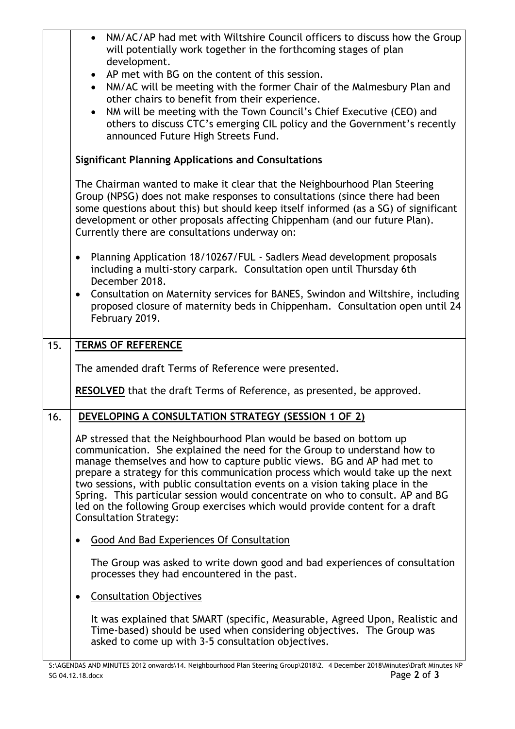|     | NM/AC/AP had met with Wiltshire Council officers to discuss how the Group<br>will potentially work together in the forthcoming stages of plan<br>development.<br>AP met with BG on the content of this session.<br>$\bullet$<br>NM/AC will be meeting with the former Chair of the Malmesbury Plan and<br>$\bullet$<br>other chairs to benefit from their experience.<br>NM will be meeting with the Town Council's Chief Executive (CEO) and<br>$\bullet$<br>others to discuss CTC's emerging CIL policy and the Government's recently<br>announced Future High Streets Fund.                   |
|-----|--------------------------------------------------------------------------------------------------------------------------------------------------------------------------------------------------------------------------------------------------------------------------------------------------------------------------------------------------------------------------------------------------------------------------------------------------------------------------------------------------------------------------------------------------------------------------------------------------|
|     | <b>Significant Planning Applications and Consultations</b>                                                                                                                                                                                                                                                                                                                                                                                                                                                                                                                                       |
|     | The Chairman wanted to make it clear that the Neighbourhood Plan Steering<br>Group (NPSG) does not make responses to consultations (since there had been<br>some questions about this) but should keep itself informed (as a SG) of significant<br>development or other proposals affecting Chippenham (and our future Plan).<br>Currently there are consultations underway on:                                                                                                                                                                                                                  |
|     | Planning Application 18/10267/FUL - Sadlers Mead development proposals<br>$\bullet$<br>including a multi-story carpark. Consultation open until Thursday 6th<br>December 2018.                                                                                                                                                                                                                                                                                                                                                                                                                   |
|     | Consultation on Maternity services for BANES, Swindon and Wiltshire, including<br>$\bullet$<br>proposed closure of maternity beds in Chippenham. Consultation open until 24<br>February 2019.                                                                                                                                                                                                                                                                                                                                                                                                    |
| 15. | <b>TERMS OF REFERENCE</b>                                                                                                                                                                                                                                                                                                                                                                                                                                                                                                                                                                        |
|     | The amended draft Terms of Reference were presented.                                                                                                                                                                                                                                                                                                                                                                                                                                                                                                                                             |
|     | <b>RESOLVED</b> that the draft Terms of Reference, as presented, be approved.                                                                                                                                                                                                                                                                                                                                                                                                                                                                                                                    |
| 16. | DEVELOPING A CONSULTATION STRATEGY (SESSION 1 OF 2)                                                                                                                                                                                                                                                                                                                                                                                                                                                                                                                                              |
|     | AP stressed that the Neighbourhood Plan would be based on bottom up<br>communication. She explained the need for the Group to understand how to<br>manage themselves and how to capture public views. BG and AP had met to<br>prepare a strategy for this communication process which would take up the next<br>two sessions, with public consultation events on a vision taking place in the<br>Spring. This particular session would concentrate on who to consult. AP and BG<br>led on the following Group exercises which would provide content for a draft<br><b>Consultation Strategy:</b> |
|     | Good And Bad Experiences Of Consultation                                                                                                                                                                                                                                                                                                                                                                                                                                                                                                                                                         |
|     | The Group was asked to write down good and bad experiences of consultation<br>processes they had encountered in the past.                                                                                                                                                                                                                                                                                                                                                                                                                                                                        |
|     | <b>Consultation Objectives</b>                                                                                                                                                                                                                                                                                                                                                                                                                                                                                                                                                                   |
|     | It was explained that SMART (specific, Measurable, Agreed Upon, Realistic and<br>Time-based) should be used when considering objectives. The Group was<br>asked to come up with 3-5 consultation objectives.                                                                                                                                                                                                                                                                                                                                                                                     |